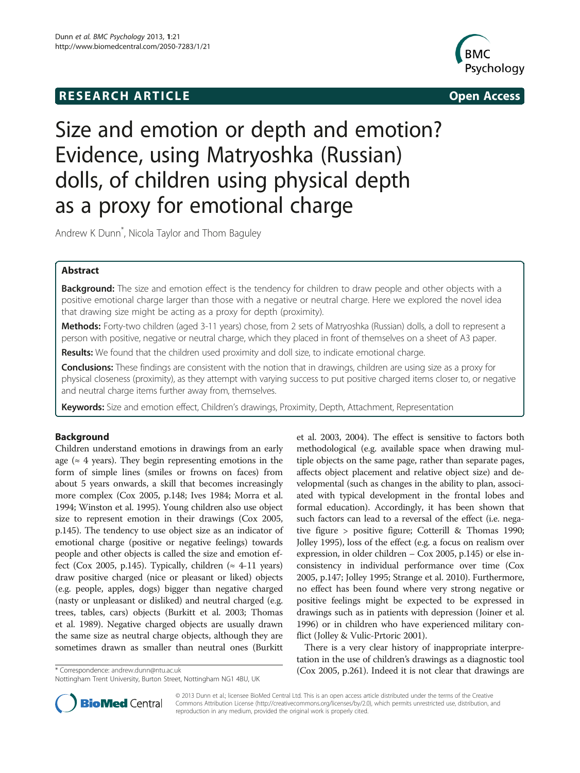## **RESEARCH ARTICLE Example 2014 The SEAR CH ACCESS**



# Size and emotion or depth and emotion? Evidence, using Matryoshka (Russian) dolls, of children using physical depth as a proxy for emotional charge

Andrew K Dunn\* , Nicola Taylor and Thom Baguley

## Abstract

Background: The size and emotion effect is the tendency for children to draw people and other objects with a positive emotional charge larger than those with a negative or neutral charge. Here we explored the novel idea that drawing size might be acting as a proxy for depth (proximity).

Methods: Forty-two children (aged 3-11 years) chose, from 2 sets of Matryoshka (Russian) dolls, a doll to represent a person with positive, negative or neutral charge, which they placed in front of themselves on a sheet of A3 paper.

**Results:** We found that the children used proximity and doll size, to indicate emotional charge.

Conclusions: These findings are consistent with the notion that in drawings, children are using size as a proxy for physical closeness (proximity), as they attempt with varying success to put positive charged items closer to, or negative and neutral charge items further away from, themselves.

Keywords: Size and emotion effect, Children's drawings, Proximity, Depth, Attachment, Representation

## Background

Children understand emotions in drawings from an early age ( $\approx$  4 years). They begin representing emotions in the form of simple lines (smiles or frowns on faces) from about 5 years onwards, a skill that becomes increasingly more complex (Cox [2005](#page-6-0), p.148; Ives [1984;](#page-6-0) Morra et al. [1994;](#page-6-0) Winston et al. [1995](#page-6-0)). Young children also use object size to represent emotion in their drawings (Cox [2005](#page-6-0), p.145). The tendency to use object size as an indicator of emotional charge (positive or negative feelings) towards people and other objects is called the size and emotion ef-fect (Cox [2005,](#page-6-0) p.145). Typically, children ( $\approx$  4-11 years) draw positive charged (nice or pleasant or liked) objects (e.g. people, apples, dogs) bigger than negative charged (nasty or unpleasant or disliked) and neutral charged (e.g. trees, tables, cars) objects (Burkitt et al. [2003;](#page-6-0) Thomas et al. [1989\)](#page-6-0). Negative charged objects are usually drawn the same size as neutral charge objects, although they are sometimes drawn as smaller than neutral ones (Burkitt

Nottingham Trent University, Burton Street, Nottingham NG1 4BU, UK

et al. [2003](#page-6-0), [2004\)](#page-6-0). The effect is sensitive to factors both methodological (e.g. available space when drawing multiple objects on the same page, rather than separate pages, affects object placement and relative object size) and developmental (such as changes in the ability to plan, associated with typical development in the frontal lobes and formal education). Accordingly, it has been shown that such factors can lead to a reversal of the effect (i.e. negative figure > positive figure; Cotterill & Thomas [1990](#page-6-0); Jolley [1995](#page-6-0)), loss of the effect (e.g. a focus on realism over expression, in older children – Cox [2005,](#page-6-0) p.145) or else inconsistency in individual performance over time (Cox [2005](#page-6-0), p.147; Jolley [1995;](#page-6-0) Strange et al. [2010\)](#page-6-0). Furthermore, no effect has been found where very strong negative or positive feelings might be expected to be expressed in drawings such as in patients with depression (Joiner et al. [1996](#page-6-0)) or in children who have experienced military conflict (Jolley & Vulic-Prtoric [2001\)](#page-6-0).

There is a very clear history of inappropriate interpretation in the use of children's drawings as a diagnostic tool \* Correspondence: [andrew.dunn@ntu.ac.uk](mailto:andrew.dunn@ntu.ac.uk) (Cox [2005](#page-6-0), p.261). Indeed it is not clear that drawings are



© 2013 Dunn et al.; licensee BioMed Central Ltd. This is an open access article distributed under the terms of the Creative Commons Attribution License [\(http://creativecommons.org/licenses/by/2.0\)](http://creativecommons.org/licenses/by/2.0), which permits unrestricted use, distribution, and reproduction in any medium, provided the original work is properly cited.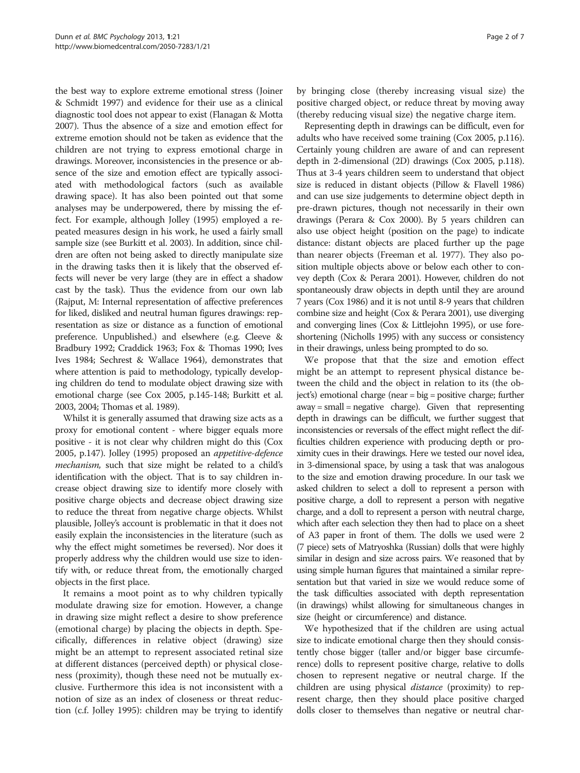the best way to explore extreme emotional stress (Joiner & Schmidt [1997\)](#page-6-0) and evidence for their use as a clinical diagnostic tool does not appear to exist (Flanagan & Motta [2007\)](#page-6-0). Thus the absence of a size and emotion effect for extreme emotion should not be taken as evidence that the children are not trying to express emotional charge in drawings. Moreover, inconsistencies in the presence or absence of the size and emotion effect are typically associated with methodological factors (such as available drawing space). It has also been pointed out that some analyses may be underpowered, there by missing the effect. For example, although Jolley ([1995](#page-6-0)) employed a repeated measures design in his work, he used a fairly small sample size (see Burkitt et al. [2003\)](#page-6-0). In addition, since children are often not being asked to directly manipulate size in the drawing tasks then it is likely that the observed effects will never be very large (they are in effect a shadow cast by the task). Thus the evidence from our own lab (Rajput, M: Internal representation of affective preferences for liked, disliked and neutral human figures drawings: representation as size or distance as a function of emotional preference. Unpublished.) and elsewhere (e.g. Cleeve & Bradbury [1992;](#page-6-0) Craddick [1963;](#page-6-0) Fox & Thomas [1990](#page-6-0); Ives Ives [1984;](#page-6-0) Sechrest & Wallace [1964](#page-6-0)), demonstrates that where attention is paid to methodology, typically developing children do tend to modulate object drawing size with emotional charge (see Cox [2005](#page-6-0), p.145-148; Burkitt et al. [2003, 2004](#page-6-0); Thomas et al. [1989](#page-6-0)).

Whilst it is generally assumed that drawing size acts as a proxy for emotional content - where bigger equals more positive - it is not clear why children might do this (Cox [2005,](#page-6-0) p.147). Jolley [\(1995](#page-6-0)) proposed an appetitive-defence mechanism, such that size might be related to a child's identification with the object. That is to say children increase object drawing size to identify more closely with positive charge objects and decrease object drawing size to reduce the threat from negative charge objects. Whilst plausible, Jolley's account is problematic in that it does not easily explain the inconsistencies in the literature (such as why the effect might sometimes be reversed). Nor does it properly address why the children would use size to identify with, or reduce threat from, the emotionally charged objects in the first place.

It remains a moot point as to why children typically modulate drawing size for emotion. However, a change in drawing size might reflect a desire to show preference (emotional charge) by placing the objects in depth. Specifically, differences in relative object (drawing) size might be an attempt to represent associated retinal size at different distances (perceived depth) or physical closeness (proximity), though these need not be mutually exclusive. Furthermore this idea is not inconsistent with a notion of size as an index of closeness or threat reduction (c.f. Jolley [1995](#page-6-0)): children may be trying to identify by bringing close (thereby increasing visual size) the positive charged object, or reduce threat by moving away (thereby reducing visual size) the negative charge item.

Representing depth in drawings can be difficult, even for adults who have received some training (Cox [2005,](#page-6-0) p.116). Certainly young children are aware of and can represent depth in 2-dimensional (2D) drawings (Cox [2005](#page-6-0), p.118). Thus at 3-4 years children seem to understand that object size is reduced in distant objects (Pillow & Flavell [1986](#page-6-0)) and can use size judgements to determine object depth in pre-drawn pictures, though not necessarily in their own drawings (Perara & Cox [2000](#page-6-0)). By 5 years children can also use object height (position on the page) to indicate distance: distant objects are placed further up the page than nearer objects (Freeman et al. [1977\)](#page-6-0). They also position multiple objects above or below each other to convey depth (Cox & Perara [2001\)](#page-6-0). However, children do not spontaneously draw objects in depth until they are around 7 years (Cox [1986\)](#page-6-0) and it is not until 8-9 years that children combine size and height (Cox & Perara [2001](#page-6-0)), use diverging and converging lines (Cox & Littlejohn [1995](#page-6-0)), or use foreshortening (Nicholls [1995\)](#page-6-0) with any success or consistency in their drawings, unless being prompted to do so.

We propose that that the size and emotion effect might be an attempt to represent physical distance between the child and the object in relation to its (the object's) emotional charge (near = big = positive charge; further  $away = small = negative charge$ ). Given that representing depth in drawings can be difficult, we further suggest that inconsistencies or reversals of the effect might reflect the difficulties children experience with producing depth or proximity cues in their drawings. Here we tested our novel idea, in 3-dimensional space, by using a task that was analogous to the size and emotion drawing procedure. In our task we asked children to select a doll to represent a person with positive charge, a doll to represent a person with negative charge, and a doll to represent a person with neutral charge, which after each selection they then had to place on a sheet of A3 paper in front of them. The dolls we used were 2 (7 piece) sets of Matryoshka (Russian) dolls that were highly similar in design and size across pairs. We reasoned that by using simple human figures that maintained a similar representation but that varied in size we would reduce some of the task difficulties associated with depth representation (in drawings) whilst allowing for simultaneous changes in size (height or circumference) and distance.

We hypothesized that if the children are using actual size to indicate emotional charge then they should consistently chose bigger (taller and/or bigger base circumference) dolls to represent positive charge, relative to dolls chosen to represent negative or neutral charge. If the children are using physical *distance* (proximity) to represent charge, then they should place positive charged dolls closer to themselves than negative or neutral char-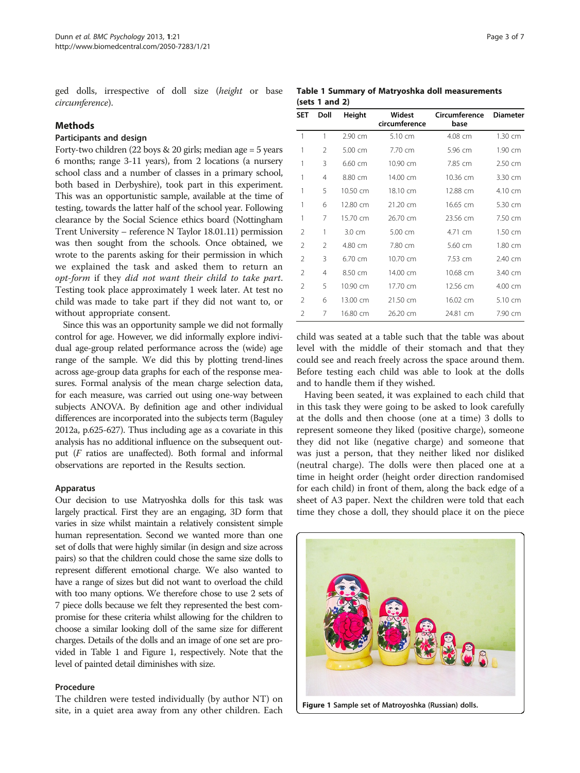ged dolls, irrespective of doll size (height or base circumference).

## Methods

## Participants and design

Forty-two children (22 boys & 20 girls; median age = 5 years 6 months; range 3-11 years), from 2 locations (a nursery school class and a number of classes in a primary school, both based in Derbyshire), took part in this experiment. This was an opportunistic sample, available at the time of testing, towards the latter half of the school year. Following clearance by the Social Science ethics board (Nottingham Trent University – reference N Taylor 18.01.11) permission was then sought from the schools. Once obtained, we wrote to the parents asking for their permission in which we explained the task and asked them to return an opt-form if they did not want their child to take part. Testing took place approximately 1 week later. At test no child was made to take part if they did not want to, or without appropriate consent.

Since this was an opportunity sample we did not formally control for age. However, we did informally explore individual age-group related performance across the (wide) age range of the sample. We did this by plotting trend-lines across age-group data graphs for each of the response measures. Formal analysis of the mean charge selection data, for each measure, was carried out using one-way between subjects ANOVA. By definition age and other individual differences are incorporated into the subjects term (Baguley [2012a,](#page-6-0) p.625-627). Thus including age as a covariate in this analysis has no additional influence on the subsequent output (F ratios are unaffected). Both formal and informal observations are reported in the [Results](#page-3-0) section.

#### Apparatus

Our decision to use Matryoshka dolls for this task was largely practical. First they are an engaging, 3D form that varies in size whilst maintain a relatively consistent simple human representation. Second we wanted more than one set of dolls that were highly similar (in design and size across pairs) so that the children could chose the same size dolls to represent different emotional charge. We also wanted to have a range of sizes but did not want to overload the child with too many options. We therefore chose to use 2 sets of 7 piece dolls because we felt they represented the best compromise for these criteria whilst allowing for the children to choose a similar looking doll of the same size for different charges. Details of the dolls and an image of one set are provided in Table 1 and Figure 1, respectively. Note that the level of painted detail diminishes with size.

#### Procedure

The children were tested individually (by author NT) on site, in a quiet area away from any other children. Each

| Table 1 Summary of Matryoshka doll measurements |  |  |
|-------------------------------------------------|--|--|
| (sets 1 and 2)                                  |  |  |

| SET            | Doll           | Height            | Widest<br>circumference | Circumference<br>base | <b>Diameter</b> |
|----------------|----------------|-------------------|-------------------------|-----------------------|-----------------|
| 1              | 1              | $2.90 \text{ cm}$ | 5.10 cm                 | 4.08 cm               | 1.30 cm         |
| 1              | $\overline{2}$ | 5.00 cm           | 7.70 cm                 | 5.96 cm               | 1.90 cm         |
| 1              | 3              | 6.60 cm           | 10.90 cm                | 7.85 cm               | 2.50 cm         |
| 1              | 4              | 8.80 cm           | 14.00 cm                | 10.36 cm              | 3.30 cm         |
| 1              | 5              | 10.50 cm          | 18.10 cm                | 12.88 cm              | 4.10 cm         |
| 1              | 6              | 12.80 cm          | 21.20 cm                | 16.65 cm              | 5.30 cm         |
| 1              | 7              | 15.70 cm          | 26.70 cm                | 23.56 cm              | 7.50 cm         |
| 2              | 1              | 3.0 cm            | 5.00 cm                 | 4.71 cm               | 1.50 cm         |
| 2              | $\overline{2}$ | 4.80 cm           | 7.80 cm                 | 5.60 cm               | 1.80 cm         |
| $\mathcal{P}$  | 3              | 6.70 cm           | 10.70 cm                | 7.53 cm               | 2.40 cm         |
| 2              | $\overline{4}$ | 8.50 cm           | 14.00 cm                | 10.68 cm              | 3.40 cm         |
| $\overline{2}$ | 5              | 10.90 cm          | 17.70 cm                | 12.56 cm              | 4.00 cm         |
| $\mathcal{P}$  | 6              | 13.00 cm          | 21.50 cm                | 16.02 cm              | 5.10 cm         |
| $\overline{2}$ | 7              | 16.80 cm          | 26.20 cm                | 24.81 cm              | 7.90 cm         |

child was seated at a table such that the table was about level with the middle of their stomach and that they could see and reach freely across the space around them. Before testing each child was able to look at the dolls and to handle them if they wished.

Having been seated, it was explained to each child that in this task they were going to be asked to look carefully at the dolls and then choose (one at a time) 3 dolls to represent someone they liked (positive charge), someone they did not like (negative charge) and someone that was just a person, that they neither liked nor disliked (neutral charge). The dolls were then placed one at a time in height order (height order direction randomised for each child) in front of them, along the back edge of a sheet of A3 paper. Next the children were told that each time they chose a doll, they should place it on the piece



Figure 1 Sample set of Matroyoshka (Russian) dolls.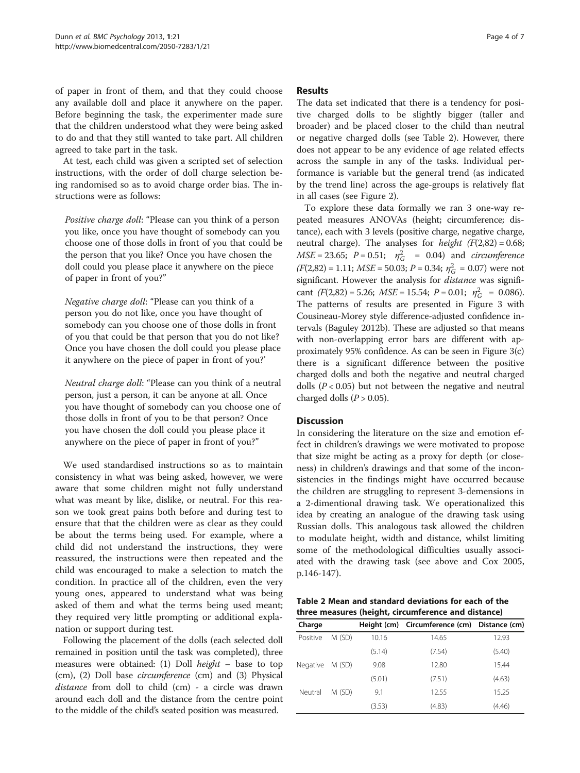<span id="page-3-0"></span>of paper in front of them, and that they could choose any available doll and place it anywhere on the paper. Before beginning the task, the experimenter made sure that the children understood what they were being asked to do and that they still wanted to take part. All children agreed to take part in the task.

At test, each child was given a scripted set of selection instructions, with the order of doll charge selection being randomised so as to avoid charge order bias. The instructions were as follows:

Positive charge doll: "Please can you think of a person you like, once you have thought of somebody can you choose one of those dolls in front of you that could be the person that you like? Once you have chosen the doll could you please place it anywhere on the piece of paper in front of you?"

Negative charge doll: "Please can you think of a person you do not like, once you have thought of somebody can you choose one of those dolls in front of you that could be that person that you do not like? Once you have chosen the doll could you please place it anywhere on the piece of paper in front of you?'

Neutral charge doll: "Please can you think of a neutral person, just a person, it can be anyone at all. Once you have thought of somebody can you choose one of those dolls in front of you to be that person? Once you have chosen the doll could you please place it anywhere on the piece of paper in front of you?"

We used standardised instructions so as to maintain consistency in what was being asked, however, we were aware that some children might not fully understand what was meant by like, dislike, or neutral. For this reason we took great pains both before and during test to ensure that that the children were as clear as they could be about the terms being used. For example, where a child did not understand the instructions, they were reassured, the instructions were then repeated and the child was encouraged to make a selection to match the condition. In practice all of the children, even the very young ones, appeared to understand what was being asked of them and what the terms being used meant; they required very little prompting or additional explanation or support during test.

Following the placement of the dolls (each selected doll remained in position until the task was completed), three measures were obtained: (1) Doll  $height - base$  to top (cm), (2) Doll base circumference (cm) and (3) Physical distance from doll to child (cm) - a circle was drawn around each doll and the distance from the centre point to the middle of the child's seated position was measured.

## Results

The data set indicated that there is a tendency for positive charged dolls to be slightly bigger (taller and broader) and be placed closer to the child than neutral or negative charged dolls (see Table 2). However, there does not appear to be any evidence of age related effects across the sample in any of the tasks. Individual performance is variable but the general trend (as indicated by the trend line) across the age-groups is relatively flat in all cases (see Figure [2](#page-4-0)).

To explore these data formally we ran 3 one-way repeated measures ANOVAs (height; circumference; distance), each with 3 levels (positive charge, negative charge, neutral charge). The analyses for *height*  $(F(2,82) = 0.68;$  $MSE = 23.65; P = 0.51; \eta_G^2 = 0.04$  and *circumference*  $(F(2,82) = 1.11; MSE = 50.03; P = 0.34; \eta_G^2 = 0.07)$  were not significant. However the analysis for *distance* was significant  $(F(2,82) = 5.26; MSE = 15.54; P = 0.01; \eta_G^2 = 0.086$ . The patterns of results are presented in Figure [3](#page-4-0) with Cousineau-Morey style difference-adjusted confidence intervals (Baguley [2012b](#page-6-0)). These are adjusted so that means with non-overlapping error bars are different with approximately 95% confidence. As can be seen in Figure [3](#page-4-0)(c) there is a significant difference between the positive charged dolls and both the negative and neutral charged dolls ( $P < 0.05$ ) but not between the negative and neutral charged dolls  $(P > 0.05)$ .

## **Discussion**

In considering the literature on the size and emotion effect in children's drawings we were motivated to propose that size might be acting as a proxy for depth (or closeness) in children's drawings and that some of the inconsistencies in the findings might have occurred because the children are struggling to represent 3-demensions in a 2-dimentional drawing task. We operationalized this idea by creating an analogue of the drawing task using Russian dolls. This analogous task allowed the children to modulate height, width and distance, whilst limiting some of the methodological difficulties usually associated with the drawing task (see above and Cox [2005](#page-6-0), p.146-147).

Table 2 Mean and standard deviations for each of the three measures (height, circumference and distance)

| Charge          |        |        | Height (cm) Circumference (cm) Distance (cm) |        |
|-----------------|--------|--------|----------------------------------------------|--------|
| Positive        | M (SD) | 10.16  | 14.65                                        | 12.93  |
|                 |        | (5.14) | (7.54)                                       | (5.40) |
| Negative M (SD) |        | 9.08   | 12.80                                        | 15.44  |
|                 |        | (5.01) | (7.51)                                       | (4.63) |
| Neutral         | M (SD) | 9.1    | 12.55                                        | 15.25  |
|                 |        | (3.53) | (4.83)                                       | (4.46) |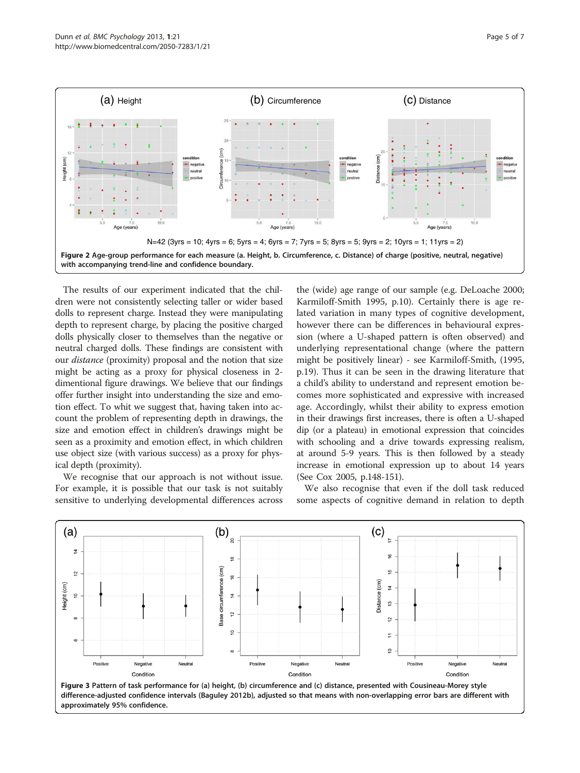<span id="page-4-0"></span>

The results of our experiment indicated that the children were not consistently selecting taller or wider based dolls to represent charge. Instead they were manipulating depth to represent charge, by placing the positive charged dolls physically closer to themselves than the negative or neutral charged dolls. These findings are consistent with our distance (proximity) proposal and the notion that size might be acting as a proxy for physical closeness in 2 dimentional figure drawings. We believe that our findings offer further insight into understanding the size and emotion effect. To whit we suggest that, having taken into account the problem of representing depth in drawings, the size and emotion effect in children's drawings might be seen as a proximity and emotion effect, in which children use object size (with various success) as a proxy for physical depth (proximity).

We recognise that our approach is not without issue. For example, it is possible that our task is not suitably sensitive to underlying developmental differences across

the (wide) age range of our sample (e.g. DeLoache [2000](#page-6-0); Karmiloff-Smith [1995](#page-6-0), p.10). Certainly there is age related variation in many types of cognitive development, however there can be differences in behavioural expression (where a U-shaped pattern is often observed) and underlying representational change (where the pattern might be positively linear) - see Karmiloff-Smith, ([1995,](#page-6-0) p.19). Thus it can be seen in the drawing literature that a child's ability to understand and represent emotion becomes more sophisticated and expressive with increased age. Accordingly, whilst their ability to express emotion in their drawings first increases, there is often a U-shaped dip (or a plateau) in emotional expression that coincides with schooling and a drive towards expressing realism, at around 5-9 years. This is then followed by a steady increase in emotional expression up to about 14 years (See Cox [2005](#page-6-0), p.148-151).

We also recognise that even if the doll task reduced some aspects of cognitive demand in relation to depth



Figure 3 Pattern of task performance for (a) height, (b) circumference and (c) distance, presented with Cousineau-Morey style difference-adjusted confidence intervals (Baguley [2012b](#page-6-0)), adjusted so that means with non-overlapping error bars are different with approximately 95% confidence.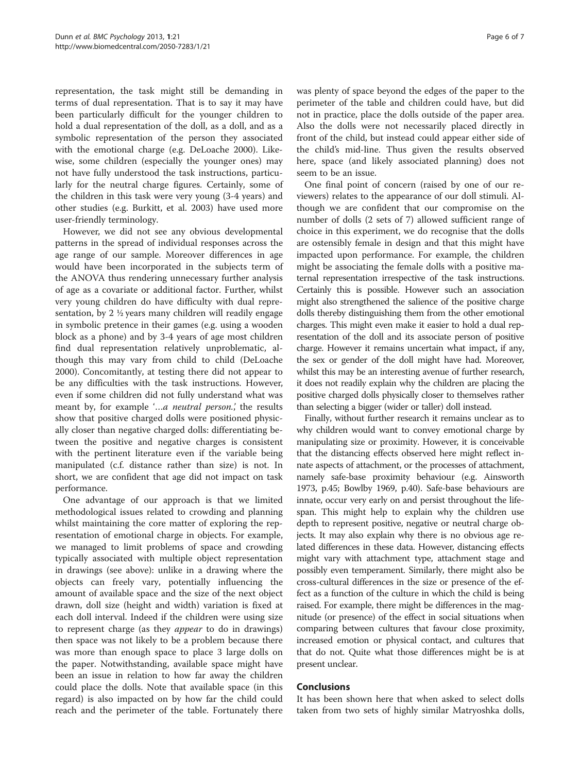representation, the task might still be demanding in terms of dual representation. That is to say it may have been particularly difficult for the younger children to hold a dual representation of the doll, as a doll, and as a symbolic representation of the person they associated with the emotional charge (e.g. DeLoache [2000\)](#page-6-0). Likewise, some children (especially the younger ones) may not have fully understood the task instructions, particularly for the neutral charge figures. Certainly, some of the children in this task were very young (3-4 years) and other studies (e.g. Burkitt, et al. [2003\)](#page-6-0) have used more user-friendly terminology.

However, we did not see any obvious developmental patterns in the spread of individual responses across the age range of our sample. Moreover differences in age would have been incorporated in the subjects term of the ANOVA thus rendering unnecessary further analysis of age as a covariate or additional factor. Further, whilst very young children do have difficulty with dual representation, by 2 ½ years many children will readily engage in symbolic pretence in their games (e.g. using a wooden block as a phone) and by 3-4 years of age most children find dual representation relatively unproblematic, although this may vary from child to child (DeLoache [2000](#page-6-0)). Concomitantly, at testing there did not appear to be any difficulties with the task instructions. However, even if some children did not fully understand what was meant by, for example '...*a neutral person*.', the results show that positive charged dolls were positioned physically closer than negative charged dolls: differentiating between the positive and negative charges is consistent with the pertinent literature even if the variable being manipulated (c.f. distance rather than size) is not. In short, we are confident that age did not impact on task performance.

One advantage of our approach is that we limited methodological issues related to crowding and planning whilst maintaining the core matter of exploring the representation of emotional charge in objects. For example, we managed to limit problems of space and crowding typically associated with multiple object representation in drawings (see above): unlike in a drawing where the objects can freely vary, potentially influencing the amount of available space and the size of the next object drawn, doll size (height and width) variation is fixed at each doll interval. Indeed if the children were using size to represent charge (as they appear to do in drawings) then space was not likely to be a problem because there was more than enough space to place 3 large dolls on the paper. Notwithstanding, available space might have been an issue in relation to how far away the children could place the dolls. Note that available space (in this regard) is also impacted on by how far the child could reach and the perimeter of the table. Fortunately there was plenty of space beyond the edges of the paper to the perimeter of the table and children could have, but did not in practice, place the dolls outside of the paper area. Also the dolls were not necessarily placed directly in front of the child, but instead could appear either side of the child's mid-line. Thus given the results observed here, space (and likely associated planning) does not seem to be an issue.

One final point of concern (raised by one of our reviewers) relates to the appearance of our doll stimuli. Although we are confident that our compromise on the number of dolls (2 sets of 7) allowed sufficient range of choice in this experiment, we do recognise that the dolls are ostensibly female in design and that this might have impacted upon performance. For example, the children might be associating the female dolls with a positive maternal representation irrespective of the task instructions. Certainly this is possible. However such an association might also strengthened the salience of the positive charge dolls thereby distinguishing them from the other emotional charges. This might even make it easier to hold a dual representation of the doll and its associate person of positive charge. However it remains uncertain what impact, if any, the sex or gender of the doll might have had. Moreover, whilst this may be an interesting avenue of further research, it does not readily explain why the children are placing the positive charged dolls physically closer to themselves rather than selecting a bigger (wider or taller) doll instead.

Finally, without further research it remains unclear as to why children would want to convey emotional charge by manipulating size or proximity. However, it is conceivable that the distancing effects observed here might reflect innate aspects of attachment, or the processes of attachment, namely safe-base proximity behaviour (e.g. Ainsworth [1973,](#page-6-0) p.45; Bowlby [1969,](#page-6-0) p.40). Safe-base behaviours are innate, occur very early on and persist throughout the lifespan. This might help to explain why the children use depth to represent positive, negative or neutral charge objects. It may also explain why there is no obvious age related differences in these data. However, distancing effects might vary with attachment type, attachment stage and possibly even temperament. Similarly, there might also be cross-cultural differences in the size or presence of the effect as a function of the culture in which the child is being raised. For example, there might be differences in the magnitude (or presence) of the effect in social situations when comparing between cultures that favour close proximity, increased emotion or physical contact, and cultures that that do not. Quite what those differences might be is at present unclear.

## Conclusions

It has been shown here that when asked to select dolls taken from two sets of highly similar Matryoshka dolls,